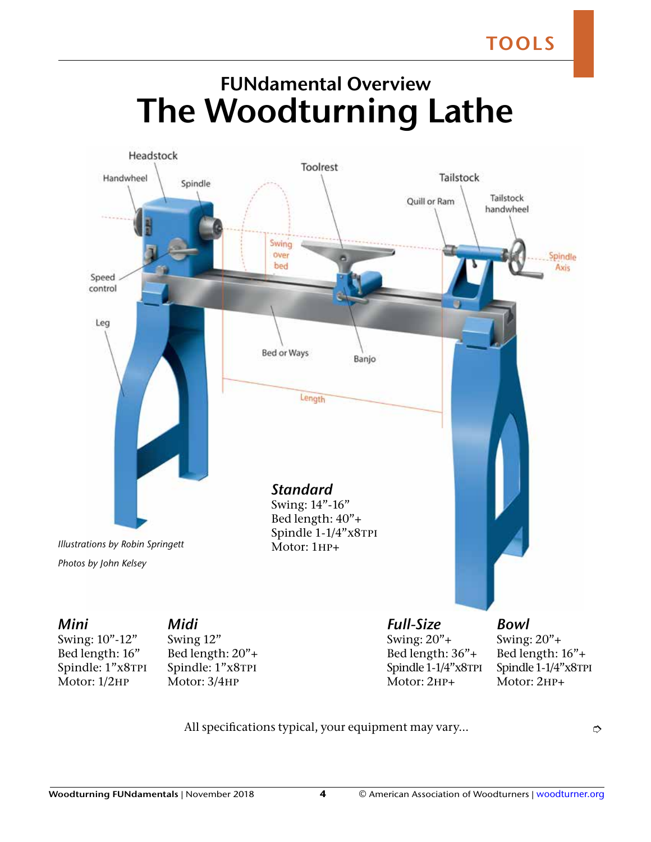## **FUNdamental Overview The Woodturning Lathe**



Swing: 10"-12" Bed length: 16" Spindle: 1"x8TPI Motor: 1/2hp

Bed length: 20"+ Spindle: 1"x8TPI Motor: 3/4hp

Bed length: 36"+ Spindle 1-1/4"x8TPI Motor: 2HP+

Bed length: 16"+ Spindle 1-1/4"x8TPI Motor: 2HP+

All specifications typical, your equipment may vary...  $\Box$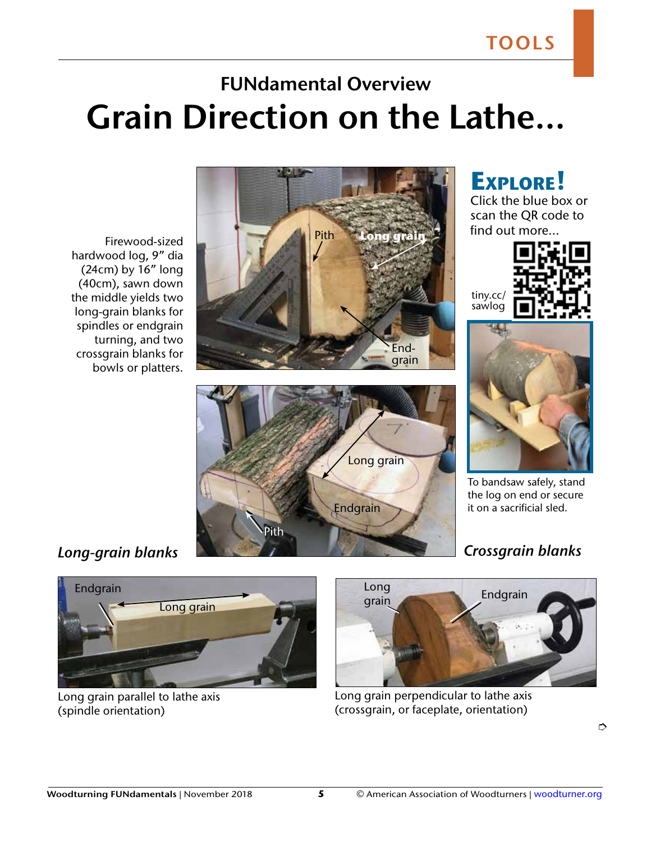**Explore!** Click the blue box or scan the QR code to

## **FUNdamental Overview Grain Direction on the Lathe...**

Firewood-sized hardwood log, 9" dia (24cm) by 16" long (40cm), sawn down the middle yields two long-grain blanks for spindles or endgrain turning, and two crossgrain blanks for bowls or platters.









To bandsaw safely, stand the log on end or secure it on a sacrificial sled.



Long grain parallel to lathe axis (spindle orientation)



Long grain perpendicular to lathe axis (crossgrain, or faceplate, orientation)

 $\Rightarrow$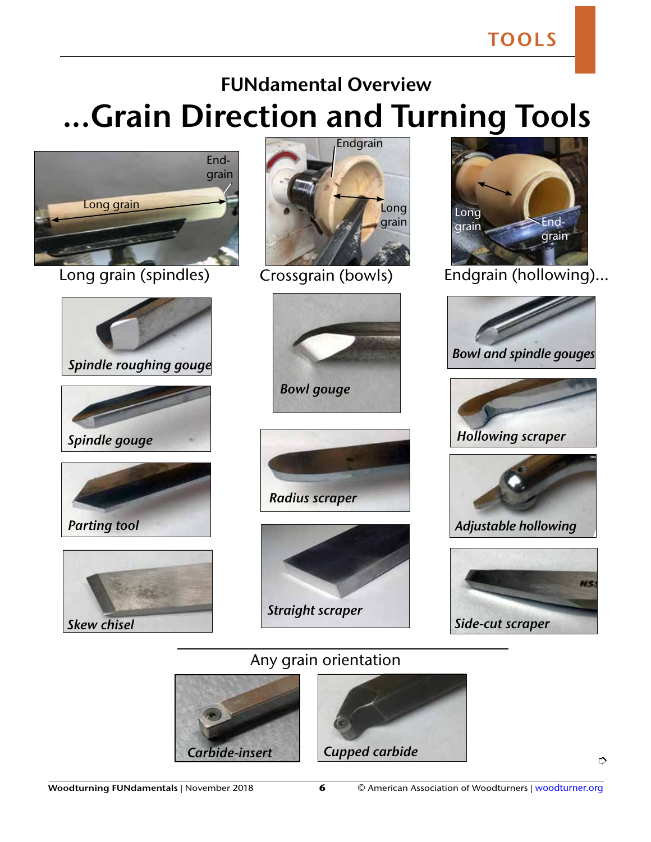**TOOLS**

## **...Grain Direction and Turning Tools FUNdamental Overview**



Long grain (spindles) Crossgrain (bowls)



















Endgrain (hollowing)...









## Any grain orientation



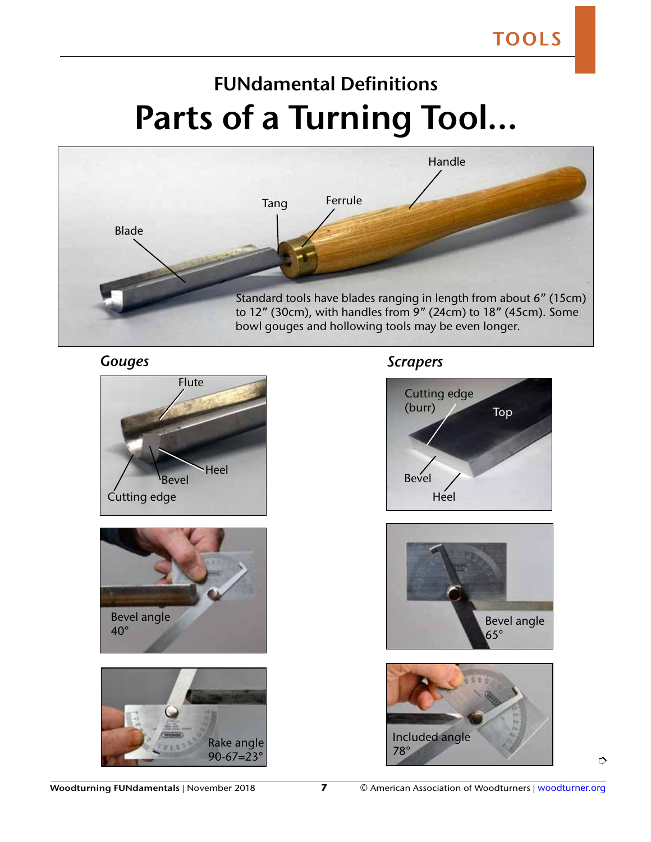## **FUNdamental Definitions Parts of a Turning Tool...**



#### *Gouges*







#### *Scrapers*







 $\Rightarrow$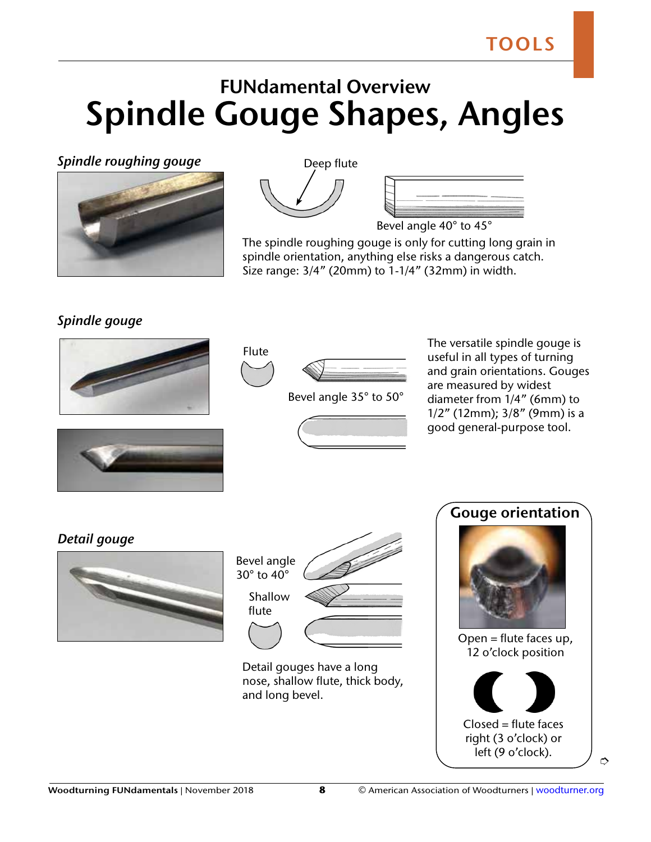## **FUNdamental Overview Spindle Gouge Shapes, Angles**

*Spindle roughing gouge*



Deep flute



Bevel angle 40° to 45°

The spindle roughing gouge is only for cutting long grain in spindle orientation, anything else risks a dangerous catch. Size range: 3/4" (20mm) to 1-1/4" (32mm) in width.

### *Spindle gouge*





Bevel angle 35° to 50°



The versatile spindle gouge is useful in all types of turning and grain orientations. Gouges are measured by widest diameter from 1/4" (6mm) to 1/2" (12mm); 3/8" (9mm) is a good general-purpose tool.



*Detail gouge*



| Bevel angle<br>$30^\circ$ to $40^\circ$ |  |
|-----------------------------------------|--|
| Shallow<br>flute                        |  |
|                                         |  |

Detail gouges have a long nose, shallow flute, thick body, and long bevel.

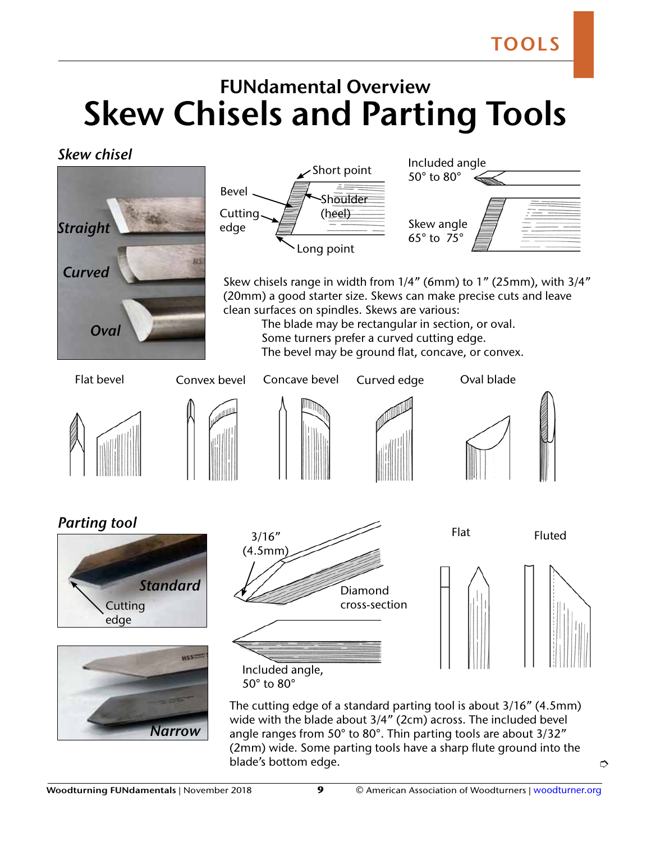## **FUNdamental Overview Skew Chisels and Parting Tools**

*Skew chisel*



 $\Rightarrow$ 

blade's bottom edge.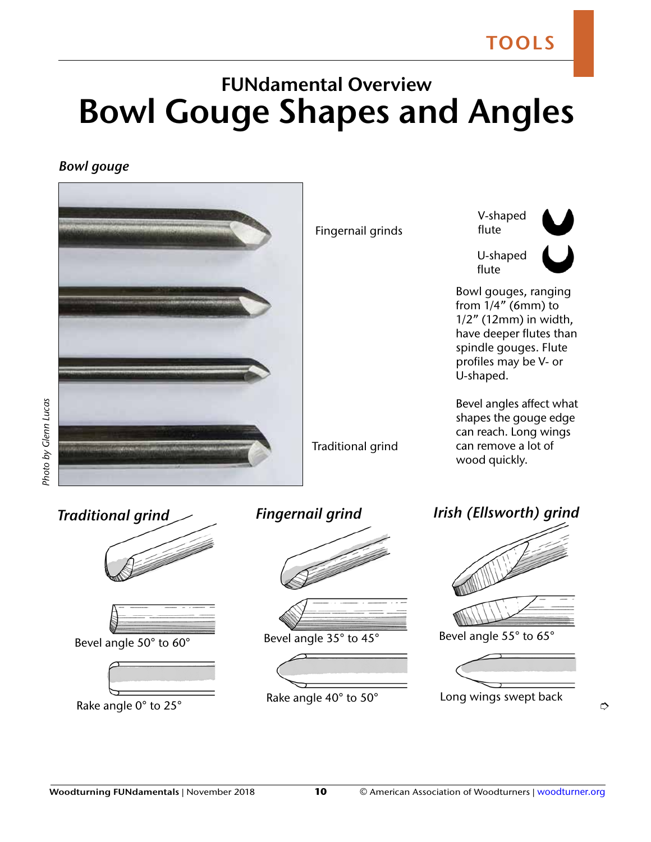## **FUNdamental Overview Bowl Gouge Shapes and Angles**

#### *Bowl gouge*

Photo by Glenn Lucas



 $\Rightarrow$